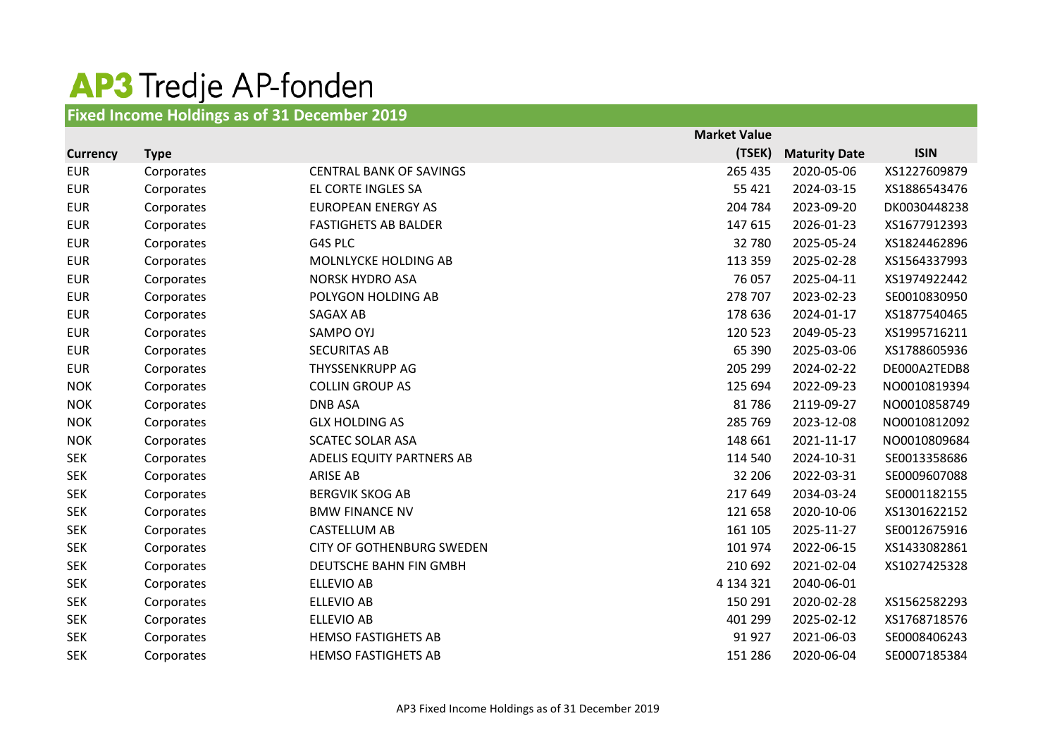## AP3 Tredje AP-fonden

## **Fixed Income Holdings as of 31 December 2019**

|            |             |                                  | <b>Market Value</b> |                      |              |
|------------|-------------|----------------------------------|---------------------|----------------------|--------------|
| Currency   | <b>Type</b> |                                  | (TSEK)              | <b>Maturity Date</b> | <b>ISIN</b>  |
| <b>EUR</b> | Corporates  | <b>CENTRAL BANK OF SAVINGS</b>   | 265 435             | 2020-05-06           | XS1227609879 |
| <b>EUR</b> | Corporates  | EL CORTE INGLES SA               | 55 4 21             | 2024-03-15           | XS1886543476 |
| <b>EUR</b> | Corporates  | <b>EUROPEAN ENERGY AS</b>        | 204 784             | 2023-09-20           | DK0030448238 |
| <b>EUR</b> | Corporates  | <b>FASTIGHETS AB BALDER</b>      | 147 615             | 2026-01-23           | XS1677912393 |
| <b>EUR</b> | Corporates  | G4S PLC                          | 32 780              | 2025-05-24           | XS1824462896 |
| <b>EUR</b> | Corporates  | MOLNLYCKE HOLDING AB             | 113 359             | 2025-02-28           | XS1564337993 |
| <b>EUR</b> | Corporates  | <b>NORSK HYDRO ASA</b>           | 76 057              | 2025-04-11           | XS1974922442 |
| <b>EUR</b> | Corporates  | POLYGON HOLDING AB               | 278 707             | 2023-02-23           | SE0010830950 |
| <b>EUR</b> | Corporates  | SAGAX AB                         | 178 636             | 2024-01-17           | XS1877540465 |
| <b>EUR</b> | Corporates  | SAMPO OYJ                        | 120 523             | 2049-05-23           | XS1995716211 |
| <b>EUR</b> | Corporates  | <b>SECURITAS AB</b>              | 65 390              | 2025-03-06           | XS1788605936 |
| <b>EUR</b> | Corporates  | THYSSENKRUPP AG                  | 205 299             | 2024-02-22           | DE000A2TEDB8 |
| <b>NOK</b> | Corporates  | <b>COLLIN GROUP AS</b>           | 125 694             | 2022-09-23           | NO0010819394 |
| <b>NOK</b> | Corporates  | <b>DNB ASA</b>                   | 81786               | 2119-09-27           | NO0010858749 |
| <b>NOK</b> | Corporates  | <b>GLX HOLDING AS</b>            | 285 769             | 2023-12-08           | NO0010812092 |
| <b>NOK</b> | Corporates  | <b>SCATEC SOLAR ASA</b>          | 148 661             | 2021-11-17           | NO0010809684 |
| <b>SEK</b> | Corporates  | ADELIS EQUITY PARTNERS AB        | 114 540             | 2024-10-31           | SE0013358686 |
| <b>SEK</b> | Corporates  | <b>ARISE AB</b>                  | 32 206              | 2022-03-31           | SE0009607088 |
| <b>SEK</b> | Corporates  | <b>BERGVIK SKOG AB</b>           | 217 649             | 2034-03-24           | SE0001182155 |
| <b>SEK</b> | Corporates  | <b>BMW FINANCE NV</b>            | 121 658             | 2020-10-06           | XS1301622152 |
| <b>SEK</b> | Corporates  | <b>CASTELLUM AB</b>              | 161 105             | 2025-11-27           | SE0012675916 |
| <b>SEK</b> | Corporates  | <b>CITY OF GOTHENBURG SWEDEN</b> | 101 974             | 2022-06-15           | XS1433082861 |
| <b>SEK</b> | Corporates  | DEUTSCHE BAHN FIN GMBH           | 210 692             | 2021-02-04           | XS1027425328 |
| <b>SEK</b> | Corporates  | <b>ELLEVIO AB</b>                | 4 134 321           | 2040-06-01           |              |
| <b>SEK</b> | Corporates  | <b>ELLEVIO AB</b>                | 150 291             | 2020-02-28           | XS1562582293 |
| <b>SEK</b> | Corporates  | <b>ELLEVIO AB</b>                | 401 299             | 2025-02-12           | XS1768718576 |
| <b>SEK</b> | Corporates  | <b>HEMSO FASTIGHETS AB</b>       | 91 927              | 2021-06-03           | SE0008406243 |
| <b>SEK</b> | Corporates  | <b>HEMSO FASTIGHETS AB</b>       | 151 286             | 2020-06-04           | SE0007185384 |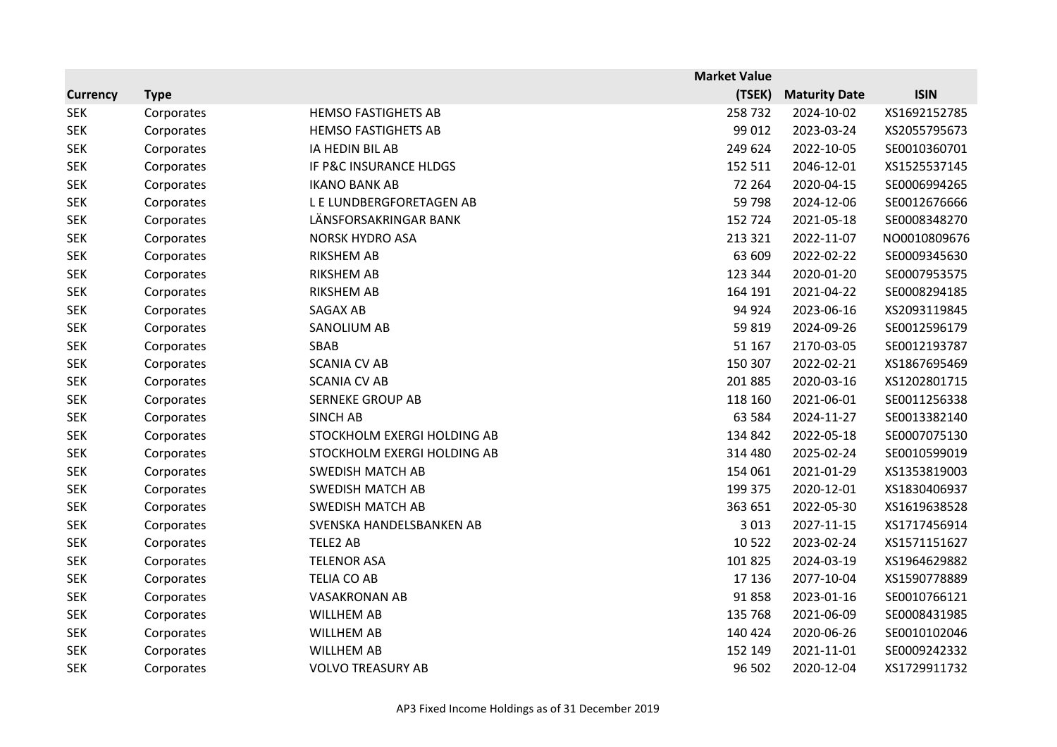|                 |             |                             | <b>Market Value</b> |                      |              |
|-----------------|-------------|-----------------------------|---------------------|----------------------|--------------|
| <b>Currency</b> | <b>Type</b> |                             | (TSEK)              | <b>Maturity Date</b> | <b>ISIN</b>  |
| <b>SEK</b>      | Corporates  | <b>HEMSO FASTIGHETS AB</b>  | 258732              | 2024-10-02           | XS1692152785 |
| <b>SEK</b>      | Corporates  | <b>HEMSO FASTIGHETS AB</b>  | 99 012              | 2023-03-24           | XS2055795673 |
| <b>SEK</b>      | Corporates  | IA HEDIN BIL AB             | 249 624             | 2022-10-05           | SE0010360701 |
| <b>SEK</b>      | Corporates  | IF P&C INSURANCE HLDGS      | 152 511             | 2046-12-01           | XS1525537145 |
| <b>SEK</b>      | Corporates  | <b>IKANO BANK AB</b>        | 72 264              | 2020-04-15           | SE0006994265 |
| <b>SEK</b>      | Corporates  | L E LUNDBERGFORETAGEN AB    | 59 798              | 2024-12-06           | SE0012676666 |
| <b>SEK</b>      | Corporates  | LÄNSFORSAKRINGAR BANK       | 152 724             | 2021-05-18           | SE0008348270 |
| <b>SEK</b>      | Corporates  | <b>NORSK HYDRO ASA</b>      | 213 321             | 2022-11-07           | NO0010809676 |
| <b>SEK</b>      | Corporates  | <b>RIKSHEM AB</b>           | 63 609              | 2022-02-22           | SE0009345630 |
| <b>SEK</b>      | Corporates  | <b>RIKSHEM AB</b>           | 123 344             | 2020-01-20           | SE0007953575 |
| <b>SEK</b>      | Corporates  | <b>RIKSHEM AB</b>           | 164 191             | 2021-04-22           | SE0008294185 |
| <b>SEK</b>      | Corporates  | SAGAX AB                    | 94 924              | 2023-06-16           | XS2093119845 |
| <b>SEK</b>      | Corporates  | SANOLIUM AB                 | 59 819              | 2024-09-26           | SE0012596179 |
| <b>SEK</b>      | Corporates  | SBAB                        | 51 167              | 2170-03-05           | SE0012193787 |
| <b>SEK</b>      | Corporates  | <b>SCANIA CV AB</b>         | 150 307             | 2022-02-21           | XS1867695469 |
| <b>SEK</b>      | Corporates  | <b>SCANIA CV AB</b>         | 201 885             | 2020-03-16           | XS1202801715 |
| <b>SEK</b>      | Corporates  | <b>SERNEKE GROUP AB</b>     | 118 160             | 2021-06-01           | SE0011256338 |
| <b>SEK</b>      | Corporates  | <b>SINCH AB</b>             | 63 5 84             | 2024-11-27           | SE0013382140 |
| <b>SEK</b>      | Corporates  | STOCKHOLM EXERGI HOLDING AB | 134 842             | 2022-05-18           | SE0007075130 |
| <b>SEK</b>      | Corporates  | STOCKHOLM EXERGI HOLDING AB | 314 480             | 2025-02-24           | SE0010599019 |
| <b>SEK</b>      | Corporates  | <b>SWEDISH MATCH AB</b>     | 154 061             | 2021-01-29           | XS1353819003 |
| <b>SEK</b>      | Corporates  | <b>SWEDISH MATCH AB</b>     | 199 375             | 2020-12-01           | XS1830406937 |
| <b>SEK</b>      | Corporates  | <b>SWEDISH MATCH AB</b>     | 363 651             | 2022-05-30           | XS1619638528 |
| <b>SEK</b>      | Corporates  | SVENSKA HANDELSBANKEN AB    | 3 0 1 3             | 2027-11-15           | XS1717456914 |
| <b>SEK</b>      | Corporates  | TELE2 AB                    | 10 5 22             | 2023-02-24           | XS1571151627 |
| <b>SEK</b>      | Corporates  | <b>TELENOR ASA</b>          | 101 825             | 2024-03-19           | XS1964629882 |
| <b>SEK</b>      | Corporates  | <b>TELIA CO AB</b>          | 17 136              | 2077-10-04           | XS1590778889 |
| <b>SEK</b>      | Corporates  | <b>VASAKRONAN AB</b>        | 91858               | 2023-01-16           | SE0010766121 |
| <b>SEK</b>      | Corporates  | <b>WILLHEM AB</b>           | 135 768             | 2021-06-09           | SE0008431985 |
| <b>SEK</b>      | Corporates  | <b>WILLHEM AB</b>           | 140 424             | 2020-06-26           | SE0010102046 |
| <b>SEK</b>      | Corporates  | <b>WILLHEM AB</b>           | 152 149             | 2021-11-01           | SE0009242332 |
| <b>SEK</b>      | Corporates  | <b>VOLVO TREASURY AB</b>    | 96 502              | 2020-12-04           | XS1729911732 |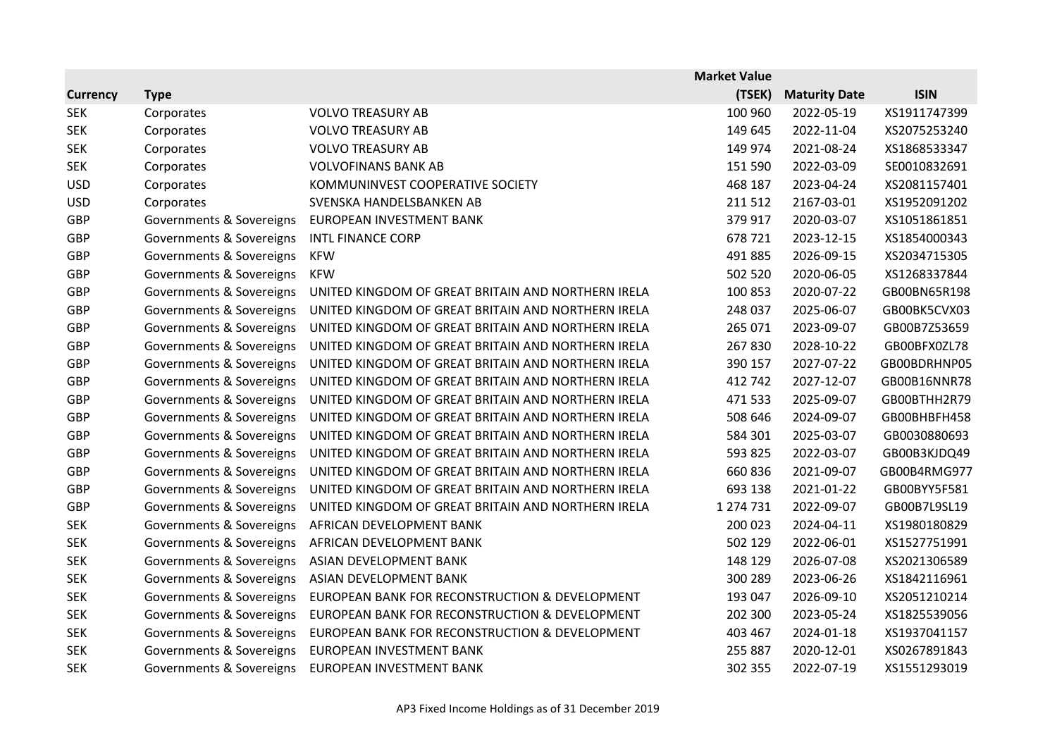|                 |                          |                                                    | <b>Market Value</b> |                      |              |
|-----------------|--------------------------|----------------------------------------------------|---------------------|----------------------|--------------|
| <b>Currency</b> | <b>Type</b>              |                                                    | (TSEK)              | <b>Maturity Date</b> | <b>ISIN</b>  |
| <b>SEK</b>      | Corporates               | <b>VOLVO TREASURY AB</b>                           | 100 960             | 2022-05-19           | XS1911747399 |
| <b>SEK</b>      | Corporates               | <b>VOLVO TREASURY AB</b>                           | 149 645             | 2022-11-04           | XS2075253240 |
| <b>SEK</b>      | Corporates               | <b>VOLVO TREASURY AB</b>                           | 149 974             | 2021-08-24           | XS1868533347 |
| <b>SEK</b>      | Corporates               | <b>VOLVOFINANS BANK AB</b>                         | 151 590             | 2022-03-09           | SE0010832691 |
| <b>USD</b>      | Corporates               | KOMMUNINVEST COOPERATIVE SOCIETY                   | 468 187             | 2023-04-24           | XS2081157401 |
| <b>USD</b>      | Corporates               | SVENSKA HANDELSBANKEN AB                           | 211 512             | 2167-03-01           | XS1952091202 |
| <b>GBP</b>      | Governments & Sovereigns | EUROPEAN INVESTMENT BANK                           | 379 917             | 2020-03-07           | XS1051861851 |
| <b>GBP</b>      | Governments & Sovereigns | <b>INTL FINANCE CORP</b>                           | 678721              | 2023-12-15           | XS1854000343 |
| GBP             | Governments & Sovereigns | <b>KFW</b>                                         | 491 885             | 2026-09-15           | XS2034715305 |
| GBP             | Governments & Sovereigns | <b>KFW</b>                                         | 502 520             | 2020-06-05           | XS1268337844 |
| <b>GBP</b>      | Governments & Sovereigns | UNITED KINGDOM OF GREAT BRITAIN AND NORTHERN IRELA | 100 853             | 2020-07-22           | GB00BN65R198 |
| <b>GBP</b>      | Governments & Sovereigns | UNITED KINGDOM OF GREAT BRITAIN AND NORTHERN IRELA | 248 037             | 2025-06-07           | GB00BK5CVX03 |
| <b>GBP</b>      | Governments & Sovereigns | UNITED KINGDOM OF GREAT BRITAIN AND NORTHERN IRELA | 265 071             | 2023-09-07           | GB00B7Z53659 |
| <b>GBP</b>      | Governments & Sovereigns | UNITED KINGDOM OF GREAT BRITAIN AND NORTHERN IRELA | 267830              | 2028-10-22           | GB00BFX0ZL78 |
| <b>GBP</b>      | Governments & Sovereigns | UNITED KINGDOM OF GREAT BRITAIN AND NORTHERN IRELA | 390 157             | 2027-07-22           | GB00BDRHNP05 |
| <b>GBP</b>      | Governments & Sovereigns | UNITED KINGDOM OF GREAT BRITAIN AND NORTHERN IRELA | 412 742             | 2027-12-07           | GB00B16NNR78 |
| GBP             | Governments & Sovereigns | UNITED KINGDOM OF GREAT BRITAIN AND NORTHERN IRELA | 471 533             | 2025-09-07           | GB00BTHH2R79 |
| <b>GBP</b>      | Governments & Sovereigns | UNITED KINGDOM OF GREAT BRITAIN AND NORTHERN IRELA | 508 646             | 2024-09-07           | GB00BHBFH458 |
| GBP             | Governments & Sovereigns | UNITED KINGDOM OF GREAT BRITAIN AND NORTHERN IRELA | 584 301             | 2025-03-07           | GB0030880693 |
| <b>GBP</b>      | Governments & Sovereigns | UNITED KINGDOM OF GREAT BRITAIN AND NORTHERN IRELA | 593 825             | 2022-03-07           | GB00B3KJDQ49 |
| <b>GBP</b>      | Governments & Sovereigns | UNITED KINGDOM OF GREAT BRITAIN AND NORTHERN IRELA | 660 836             | 2021-09-07           | GB00B4RMG977 |
| GBP             | Governments & Sovereigns | UNITED KINGDOM OF GREAT BRITAIN AND NORTHERN IRELA | 693 138             | 2021-01-22           | GB00BYY5F581 |
| <b>GBP</b>      | Governments & Sovereigns | UNITED KINGDOM OF GREAT BRITAIN AND NORTHERN IRELA | 1 274 731           | 2022-09-07           | GB00B7L9SL19 |
| <b>SEK</b>      | Governments & Sovereigns | AFRICAN DEVELOPMENT BANK                           | 200 023             | 2024-04-11           | XS1980180829 |
| <b>SEK</b>      | Governments & Sovereigns | AFRICAN DEVELOPMENT BANK                           | 502 129             | 2022-06-01           | XS1527751991 |
| <b>SEK</b>      | Governments & Sovereigns | ASIAN DEVELOPMENT BANK                             | 148 129             | 2026-07-08           | XS2021306589 |
| <b>SEK</b>      | Governments & Sovereigns | ASIAN DEVELOPMENT BANK                             | 300 289             | 2023-06-26           | XS1842116961 |
| <b>SEK</b>      | Governments & Sovereigns | EUROPEAN BANK FOR RECONSTRUCTION & DEVELOPMENT     | 193 047             | 2026-09-10           | XS2051210214 |
| <b>SEK</b>      | Governments & Sovereigns | EUROPEAN BANK FOR RECONSTRUCTION & DEVELOPMENT     | 202 300             | 2023-05-24           | XS1825539056 |
| <b>SEK</b>      | Governments & Sovereigns | EUROPEAN BANK FOR RECONSTRUCTION & DEVELOPMENT     | 403 467             | 2024-01-18           | XS1937041157 |
| <b>SEK</b>      | Governments & Sovereigns | EUROPEAN INVESTMENT BANK                           | 255 887             | 2020-12-01           | XS0267891843 |
| <b>SEK</b>      | Governments & Sovereigns | EUROPEAN INVESTMENT BANK                           | 302 355             | 2022-07-19           | XS1551293019 |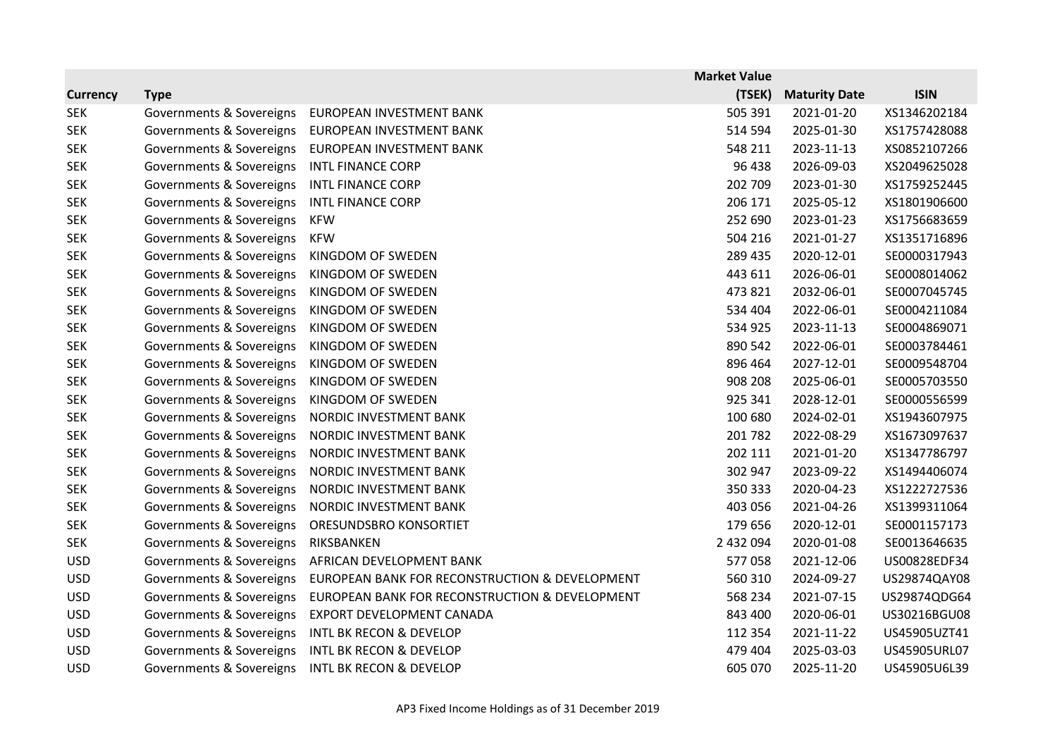|                 |                          |                                                | <b>Market Value</b> |                      |              |
|-----------------|--------------------------|------------------------------------------------|---------------------|----------------------|--------------|
| <b>Currency</b> | <b>Type</b>              |                                                | (TSEK)              | <b>Maturity Date</b> | <b>ISIN</b>  |
| <b>SEK</b>      | Governments & Sovereigns | EUROPEAN INVESTMENT BANK                       | 505 391             | 2021-01-20           | XS1346202184 |
| <b>SEK</b>      | Governments & Sovereigns | EUROPEAN INVESTMENT BANK                       | 514 594             | 2025-01-30           | XS1757428088 |
| <b>SEK</b>      | Governments & Sovereigns | EUROPEAN INVESTMENT BANK                       | 548 211             | 2023-11-13           | XS0852107266 |
| <b>SEK</b>      | Governments & Sovereigns | <b>INTL FINANCE CORP</b>                       | 96 438              | 2026-09-03           | XS2049625028 |
| <b>SEK</b>      | Governments & Sovereigns | <b>INTL FINANCE CORP</b>                       | 202 709             | 2023-01-30           | XS1759252445 |
| <b>SEK</b>      | Governments & Sovereigns | INTL FINANCE CORP                              | 206 171             | 2025-05-12           | XS1801906600 |
| <b>SEK</b>      | Governments & Sovereigns | <b>KFW</b>                                     | 252 690             | 2023-01-23           | XS1756683659 |
| <b>SEK</b>      | Governments & Sovereigns | <b>KFW</b>                                     | 504 216             | 2021-01-27           | XS1351716896 |
| <b>SEK</b>      | Governments & Sovereigns | KINGDOM OF SWEDEN                              | 289 435             | 2020-12-01           | SE0000317943 |
| <b>SEK</b>      | Governments & Sovereigns | KINGDOM OF SWEDEN                              | 443 611             | 2026-06-01           | SE0008014062 |
| <b>SEK</b>      | Governments & Sovereigns | KINGDOM OF SWEDEN                              | 473 821             | 2032-06-01           | SE0007045745 |
| <b>SEK</b>      | Governments & Sovereigns | KINGDOM OF SWEDEN                              | 534 404             | 2022-06-01           | SE0004211084 |
| <b>SEK</b>      | Governments & Sovereigns | KINGDOM OF SWEDEN                              | 534 925             | 2023-11-13           | SE0004869071 |
| <b>SEK</b>      | Governments & Sovereigns | KINGDOM OF SWEDEN                              | 890 542             | 2022-06-01           | SE0003784461 |
| <b>SEK</b>      | Governments & Sovereigns | KINGDOM OF SWEDEN                              | 896 464             | 2027-12-01           | SE0009548704 |
| <b>SEK</b>      | Governments & Sovereigns | KINGDOM OF SWEDEN                              | 908 208             | 2025-06-01           | SE0005703550 |
| <b>SEK</b>      | Governments & Sovereigns | KINGDOM OF SWEDEN                              | 925 341             | 2028-12-01           | SE0000556599 |
| <b>SEK</b>      | Governments & Sovereigns | NORDIC INVESTMENT BANK                         | 100 680             | 2024-02-01           | XS1943607975 |
| <b>SEK</b>      | Governments & Sovereigns | NORDIC INVESTMENT BANK                         | 201 782             | 2022-08-29           | XS1673097637 |
| <b>SEK</b>      | Governments & Sovereigns | NORDIC INVESTMENT BANK                         | 202 111             | 2021-01-20           | XS1347786797 |
| <b>SEK</b>      | Governments & Sovereigns | NORDIC INVESTMENT BANK                         | 302 947             | 2023-09-22           | XS1494406074 |
| <b>SEK</b>      | Governments & Sovereigns | NORDIC INVESTMENT BANK                         | 350 333             | 2020-04-23           | XS1222727536 |
| <b>SEK</b>      | Governments & Sovereigns | NORDIC INVESTMENT BANK                         | 403 056             | 2021-04-26           | XS1399311064 |
| <b>SEK</b>      | Governments & Sovereigns | ORESUNDSBRO KONSORTIET                         | 179 656             | 2020-12-01           | SE0001157173 |
| <b>SEK</b>      | Governments & Sovereigns | RIKSBANKEN                                     | 2 432 094           | 2020-01-08           | SE0013646635 |
| <b>USD</b>      | Governments & Sovereigns | AFRICAN DEVELOPMENT BANK                       | 577058              | 2021-12-06           | US00828EDF34 |
| <b>USD</b>      | Governments & Sovereigns | EUROPEAN BANK FOR RECONSTRUCTION & DEVELOPMENT | 560 310             | 2024-09-27           | US29874QAY08 |
| <b>USD</b>      | Governments & Sovereigns | EUROPEAN BANK FOR RECONSTRUCTION & DEVELOPMENT | 568 234             | 2021-07-15           | US29874QDG64 |
| <b>USD</b>      | Governments & Sovereigns | EXPORT DEVELOPMENT CANADA                      | 843 400             | 2020-06-01           | US30216BGU08 |
| <b>USD</b>      | Governments & Sovereigns | <b>INTL BK RECON &amp; DEVELOP</b>             | 112 354             | 2021-11-22           | US45905UZT41 |
| <b>USD</b>      | Governments & Sovereigns | <b>INTL BK RECON &amp; DEVELOP</b>             | 479 404             | 2025-03-03           | US45905URL07 |
| <b>USD</b>      | Governments & Sovereigns | <b>INTL BK RECON &amp; DEVELOP</b>             | 605 070             | 2025-11-20           | US45905U6L39 |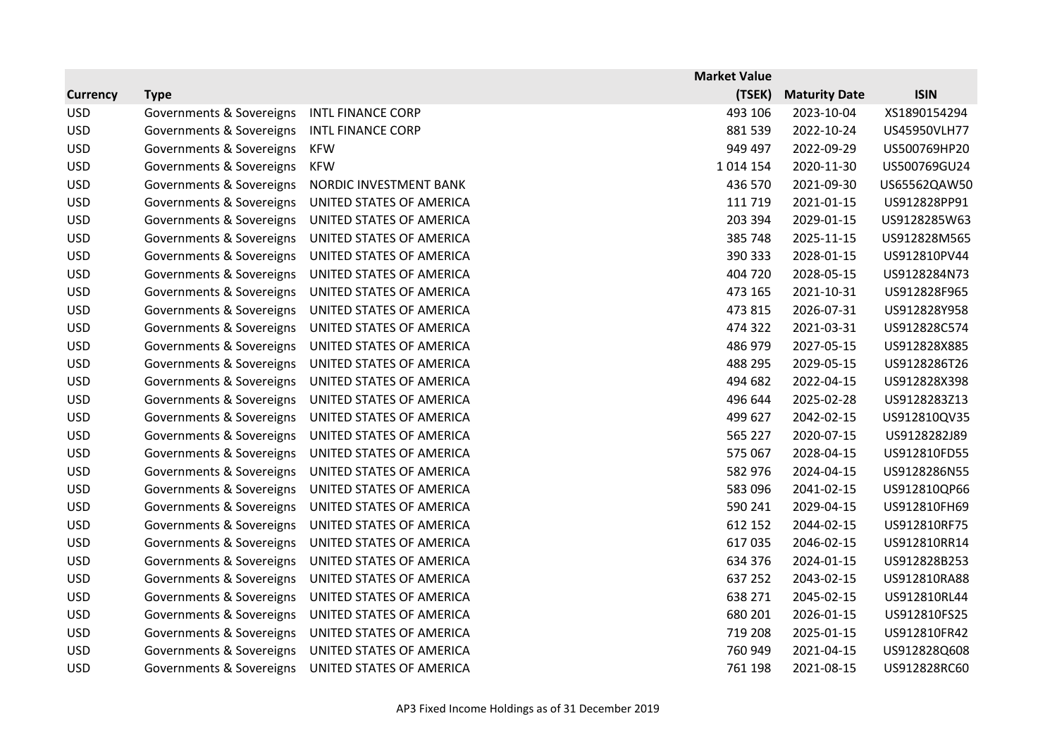|                 |                          |                          | <b>Market Value</b> |                      |              |
|-----------------|--------------------------|--------------------------|---------------------|----------------------|--------------|
| <b>Currency</b> | <b>Type</b>              |                          | (TSEK)              | <b>Maturity Date</b> | <b>ISIN</b>  |
| <b>USD</b>      | Governments & Sovereigns | <b>INTL FINANCE CORP</b> | 493 106             | 2023-10-04           | XS1890154294 |
| <b>USD</b>      | Governments & Sovereigns | <b>INTL FINANCE CORP</b> | 881 539             | 2022-10-24           | US45950VLH77 |
| <b>USD</b>      | Governments & Sovereigns | <b>KFW</b>               | 949 497             | 2022-09-29           | US500769HP20 |
| <b>USD</b>      | Governments & Sovereigns | <b>KFW</b>               | 1014 154            | 2020-11-30           | US500769GU24 |
| <b>USD</b>      | Governments & Sovereigns | NORDIC INVESTMENT BANK   | 436 570             | 2021-09-30           | US65562QAW50 |
| <b>USD</b>      | Governments & Sovereigns | UNITED STATES OF AMERICA | 111 719             | 2021-01-15           | US912828PP91 |
| <b>USD</b>      | Governments & Sovereigns | UNITED STATES OF AMERICA | 203 394             | 2029-01-15           | US9128285W63 |
| <b>USD</b>      | Governments & Sovereigns | UNITED STATES OF AMERICA | 385 748             | 2025-11-15           | US912828M565 |
| <b>USD</b>      | Governments & Sovereigns | UNITED STATES OF AMERICA | 390 333             | 2028-01-15           | US912810PV44 |
| <b>USD</b>      | Governments & Sovereigns | UNITED STATES OF AMERICA | 404 720             | 2028-05-15           | US9128284N73 |
| <b>USD</b>      | Governments & Sovereigns | UNITED STATES OF AMERICA | 473 165             | 2021-10-31           | US912828F965 |
| <b>USD</b>      | Governments & Sovereigns | UNITED STATES OF AMERICA | 473 815             | 2026-07-31           | US912828Y958 |
| <b>USD</b>      | Governments & Sovereigns | UNITED STATES OF AMERICA | 474 322             | 2021-03-31           | US912828C574 |
| <b>USD</b>      | Governments & Sovereigns | UNITED STATES OF AMERICA | 486 979             | 2027-05-15           | US912828X885 |
| <b>USD</b>      | Governments & Sovereigns | UNITED STATES OF AMERICA | 488 295             | 2029-05-15           | US9128286T26 |
| <b>USD</b>      | Governments & Sovereigns | UNITED STATES OF AMERICA | 494 682             | 2022-04-15           | US912828X398 |
| <b>USD</b>      | Governments & Sovereigns | UNITED STATES OF AMERICA | 496 644             | 2025-02-28           | US9128283Z13 |
| <b>USD</b>      | Governments & Sovereigns | UNITED STATES OF AMERICA | 499 627             | 2042-02-15           | US912810QV35 |
| <b>USD</b>      | Governments & Sovereigns | UNITED STATES OF AMERICA | 565 227             | 2020-07-15           | US9128282J89 |
| <b>USD</b>      | Governments & Sovereigns | UNITED STATES OF AMERICA | 575 067             | 2028-04-15           | US912810FD55 |
| <b>USD</b>      | Governments & Sovereigns | UNITED STATES OF AMERICA | 582 976             | 2024-04-15           | US9128286N55 |
| <b>USD</b>      | Governments & Sovereigns | UNITED STATES OF AMERICA | 583 096             | 2041-02-15           | US912810QP66 |
| <b>USD</b>      | Governments & Sovereigns | UNITED STATES OF AMERICA | 590 241             | 2029-04-15           | US912810FH69 |
| <b>USD</b>      | Governments & Sovereigns | UNITED STATES OF AMERICA | 612 152             | 2044-02-15           | US912810RF75 |
| <b>USD</b>      | Governments & Sovereigns | UNITED STATES OF AMERICA | 617035              | 2046-02-15           | US912810RR14 |
| <b>USD</b>      | Governments & Sovereigns | UNITED STATES OF AMERICA | 634 376             | 2024-01-15           | US912828B253 |
| <b>USD</b>      | Governments & Sovereigns | UNITED STATES OF AMERICA | 637 252             | 2043-02-15           | US912810RA88 |
| <b>USD</b>      | Governments & Sovereigns | UNITED STATES OF AMERICA | 638 271             | 2045-02-15           | US912810RL44 |
| <b>USD</b>      | Governments & Sovereigns | UNITED STATES OF AMERICA | 680 201             | 2026-01-15           | US912810FS25 |
| <b>USD</b>      | Governments & Sovereigns | UNITED STATES OF AMERICA | 719 208             | 2025-01-15           | US912810FR42 |
| <b>USD</b>      | Governments & Sovereigns | UNITED STATES OF AMERICA | 760 949             | 2021-04-15           | US912828Q608 |
| <b>USD</b>      | Governments & Sovereigns | UNITED STATES OF AMERICA | 761 198             | 2021-08-15           | US912828RC60 |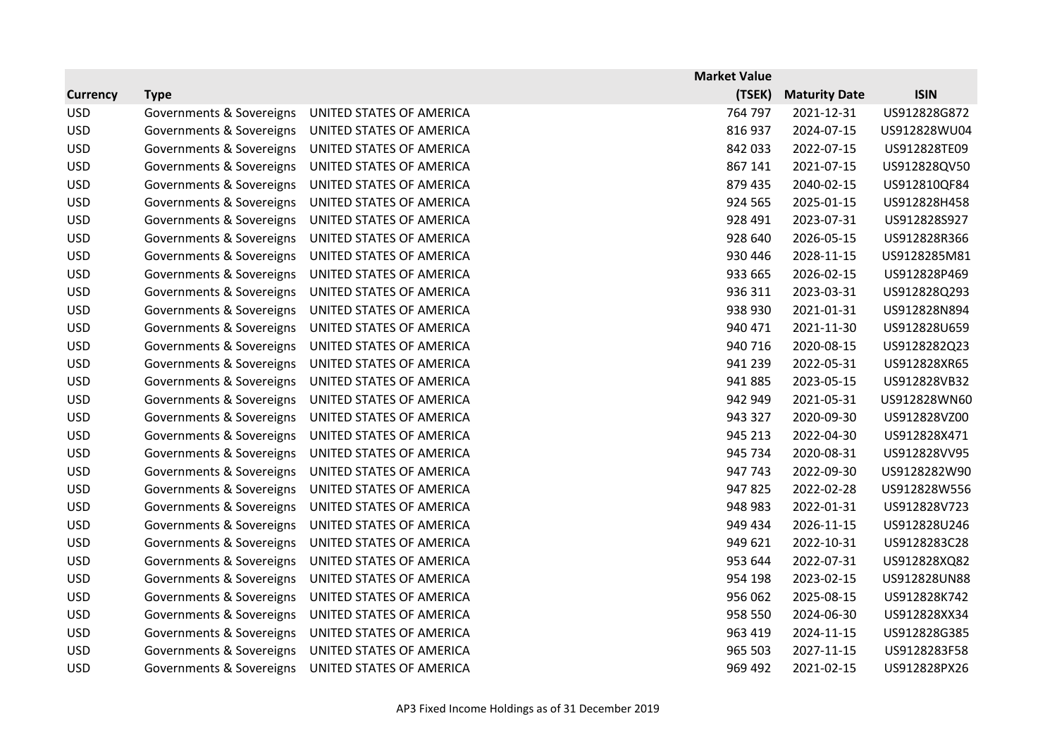|                 |                          |                          | <b>Market Value</b> |                      |              |
|-----------------|--------------------------|--------------------------|---------------------|----------------------|--------------|
| <b>Currency</b> | <b>Type</b>              |                          | (TSEK)              | <b>Maturity Date</b> | <b>ISIN</b>  |
| <b>USD</b>      | Governments & Sovereigns | UNITED STATES OF AMERICA | 764 797             | 2021-12-31           | US912828G872 |
| <b>USD</b>      | Governments & Sovereigns | UNITED STATES OF AMERICA | 816 937             | 2024-07-15           | US912828WU04 |
| <b>USD</b>      | Governments & Sovereigns | UNITED STATES OF AMERICA | 842 033             | 2022-07-15           | US912828TE09 |
| <b>USD</b>      | Governments & Sovereigns | UNITED STATES OF AMERICA | 867 141             | 2021-07-15           | US912828QV50 |
| <b>USD</b>      | Governments & Sovereigns | UNITED STATES OF AMERICA | 879 435             | 2040-02-15           | US912810QF84 |
| <b>USD</b>      | Governments & Sovereigns | UNITED STATES OF AMERICA | 924 565             | 2025-01-15           | US912828H458 |
| <b>USD</b>      | Governments & Sovereigns | UNITED STATES OF AMERICA | 928 491             | 2023-07-31           | US912828S927 |
| <b>USD</b>      | Governments & Sovereigns | UNITED STATES OF AMERICA | 928 640             | 2026-05-15           | US912828R366 |
| <b>USD</b>      | Governments & Sovereigns | UNITED STATES OF AMERICA | 930 446             | 2028-11-15           | US9128285M81 |
| <b>USD</b>      | Governments & Sovereigns | UNITED STATES OF AMERICA | 933 665             | 2026-02-15           | US912828P469 |
| <b>USD</b>      | Governments & Sovereigns | UNITED STATES OF AMERICA | 936 311             | 2023-03-31           | US912828Q293 |
| <b>USD</b>      | Governments & Sovereigns | UNITED STATES OF AMERICA | 938 930             | 2021-01-31           | US912828N894 |
| <b>USD</b>      | Governments & Sovereigns | UNITED STATES OF AMERICA | 940 471             | 2021-11-30           | US912828U659 |
| <b>USD</b>      | Governments & Sovereigns | UNITED STATES OF AMERICA | 940 716             | 2020-08-15           | US9128282Q23 |
| <b>USD</b>      | Governments & Sovereigns | UNITED STATES OF AMERICA | 941 239             | 2022-05-31           | US912828XR65 |
| <b>USD</b>      | Governments & Sovereigns | UNITED STATES OF AMERICA | 941 885             | 2023-05-15           | US912828VB32 |
| <b>USD</b>      | Governments & Sovereigns | UNITED STATES OF AMERICA | 942 949             | 2021-05-31           | US912828WN60 |
| <b>USD</b>      | Governments & Sovereigns | UNITED STATES OF AMERICA | 943 327             | 2020-09-30           | US912828VZ00 |
| <b>USD</b>      | Governments & Sovereigns | UNITED STATES OF AMERICA | 945 213             | 2022-04-30           | US912828X471 |
| <b>USD</b>      | Governments & Sovereigns | UNITED STATES OF AMERICA | 945 734             | 2020-08-31           | US912828VV95 |
| <b>USD</b>      | Governments & Sovereigns | UNITED STATES OF AMERICA | 947 743             | 2022-09-30           | US9128282W90 |
| <b>USD</b>      | Governments & Sovereigns | UNITED STATES OF AMERICA | 947825              | 2022-02-28           | US912828W556 |
| <b>USD</b>      | Governments & Sovereigns | UNITED STATES OF AMERICA | 948 983             | 2022-01-31           | US912828V723 |
| <b>USD</b>      | Governments & Sovereigns | UNITED STATES OF AMERICA | 949 434             | 2026-11-15           | US912828U246 |
| <b>USD</b>      | Governments & Sovereigns | UNITED STATES OF AMERICA | 949 621             | 2022-10-31           | US9128283C28 |
| <b>USD</b>      | Governments & Sovereigns | UNITED STATES OF AMERICA | 953 644             | 2022-07-31           | US912828XQ82 |
| <b>USD</b>      | Governments & Sovereigns | UNITED STATES OF AMERICA | 954 198             | 2023-02-15           | US912828UN88 |
| <b>USD</b>      | Governments & Sovereigns | UNITED STATES OF AMERICA | 956 062             | 2025-08-15           | US912828K742 |
| <b>USD</b>      | Governments & Sovereigns | UNITED STATES OF AMERICA | 958 550             | 2024-06-30           | US912828XX34 |
| <b>USD</b>      | Governments & Sovereigns | UNITED STATES OF AMERICA | 963 419             | 2024-11-15           | US912828G385 |
| <b>USD</b>      | Governments & Sovereigns | UNITED STATES OF AMERICA | 965 503             | 2027-11-15           | US9128283F58 |
| <b>USD</b>      | Governments & Sovereigns | UNITED STATES OF AMERICA | 969 492             | 2021-02-15           | US912828PX26 |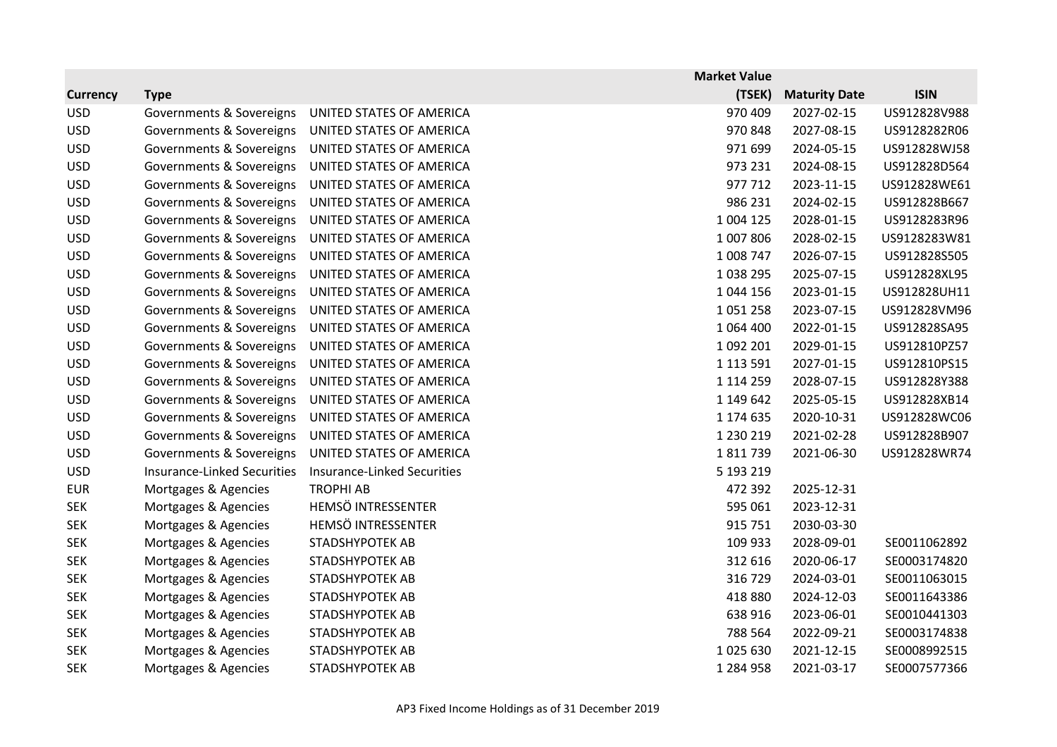|                 |                                    |                             | <b>Market Value</b> |                      |              |
|-----------------|------------------------------------|-----------------------------|---------------------|----------------------|--------------|
| <b>Currency</b> | <b>Type</b>                        |                             | (TSEK)              | <b>Maturity Date</b> | <b>ISIN</b>  |
| <b>USD</b>      | Governments & Sovereigns           | UNITED STATES OF AMERICA    | 970 409             | 2027-02-15           | US912828V988 |
| <b>USD</b>      | Governments & Sovereigns           | UNITED STATES OF AMERICA    | 970 848             | 2027-08-15           | US9128282R06 |
| <b>USD</b>      | Governments & Sovereigns           | UNITED STATES OF AMERICA    | 971 699             | 2024-05-15           | US912828WJ58 |
| <b>USD</b>      | Governments & Sovereigns           | UNITED STATES OF AMERICA    | 973 231             | 2024-08-15           | US912828D564 |
| <b>USD</b>      | Governments & Sovereigns           | UNITED STATES OF AMERICA    | 977 712             | 2023-11-15           | US912828WE61 |
| <b>USD</b>      | Governments & Sovereigns           | UNITED STATES OF AMERICA    | 986 231             | 2024-02-15           | US912828B667 |
| <b>USD</b>      | Governments & Sovereigns           | UNITED STATES OF AMERICA    | 1 004 125           | 2028-01-15           | US9128283R96 |
| <b>USD</b>      | Governments & Sovereigns           | UNITED STATES OF AMERICA    | 1 007 806           | 2028-02-15           | US9128283W81 |
| <b>USD</b>      | Governments & Sovereigns           | UNITED STATES OF AMERICA    | 1 008 747           | 2026-07-15           | US912828S505 |
| <b>USD</b>      | Governments & Sovereigns           | UNITED STATES OF AMERICA    | 1038295             | 2025-07-15           | US912828XL95 |
| <b>USD</b>      | Governments & Sovereigns           | UNITED STATES OF AMERICA    | 1 044 156           | 2023-01-15           | US912828UH11 |
| <b>USD</b>      | Governments & Sovereigns           | UNITED STATES OF AMERICA    | 1051258             | 2023-07-15           | US912828VM96 |
| <b>USD</b>      | Governments & Sovereigns           | UNITED STATES OF AMERICA    | 1 064 400           | 2022-01-15           | US912828SA95 |
| <b>USD</b>      | Governments & Sovereigns           | UNITED STATES OF AMERICA    | 1 092 201           | 2029-01-15           | US912810PZ57 |
| <b>USD</b>      | Governments & Sovereigns           | UNITED STATES OF AMERICA    | 1 1 1 3 5 9 1       | 2027-01-15           | US912810PS15 |
| <b>USD</b>      | Governments & Sovereigns           | UNITED STATES OF AMERICA    | 1 1 1 4 2 5 9       | 2028-07-15           | US912828Y388 |
| <b>USD</b>      | Governments & Sovereigns           | UNITED STATES OF AMERICA    | 1 149 642           | 2025-05-15           | US912828XB14 |
| <b>USD</b>      | Governments & Sovereigns           | UNITED STATES OF AMERICA    | 1 174 635           | 2020-10-31           | US912828WC06 |
| <b>USD</b>      | Governments & Sovereigns           | UNITED STATES OF AMERICA    | 1 2 3 0 2 1 9       | 2021-02-28           | US912828B907 |
| <b>USD</b>      | Governments & Sovereigns           | UNITED STATES OF AMERICA    | 1811739             | 2021-06-30           | US912828WR74 |
| <b>USD</b>      | <b>Insurance-Linked Securities</b> | Insurance-Linked Securities | 5 193 219           |                      |              |
| <b>EUR</b>      | Mortgages & Agencies               | <b>TROPHI AB</b>            | 472 392             | 2025-12-31           |              |
| <b>SEK</b>      | Mortgages & Agencies               | HEMSÖ INTRESSENTER          | 595 061             | 2023-12-31           |              |
| <b>SEK</b>      | Mortgages & Agencies               | HEMSÖ INTRESSENTER          | 915 751             | 2030-03-30           |              |
| <b>SEK</b>      | Mortgages & Agencies               | STADSHYPOTEK AB             | 109 933             | 2028-09-01           | SE0011062892 |
| <b>SEK</b>      | Mortgages & Agencies               | STADSHYPOTEK AB             | 312 616             | 2020-06-17           | SE0003174820 |
| <b>SEK</b>      | Mortgages & Agencies               | STADSHYPOTEK AB             | 316 729             | 2024-03-01           | SE0011063015 |
| <b>SEK</b>      | Mortgages & Agencies               | STADSHYPOTEK AB             | 418 880             | 2024-12-03           | SE0011643386 |
| <b>SEK</b>      | Mortgages & Agencies               | STADSHYPOTEK AB             | 638 916             | 2023-06-01           | SE0010441303 |
| <b>SEK</b>      | Mortgages & Agencies               | STADSHYPOTEK AB             | 788 564             | 2022-09-21           | SE0003174838 |
| <b>SEK</b>      | Mortgages & Agencies               | STADSHYPOTEK AB             | 1025630             | 2021-12-15           | SE0008992515 |
| <b>SEK</b>      | Mortgages & Agencies               | <b>STADSHYPOTEK AB</b>      | 1 2 8 4 9 5 8       | 2021-03-17           | SE0007577366 |